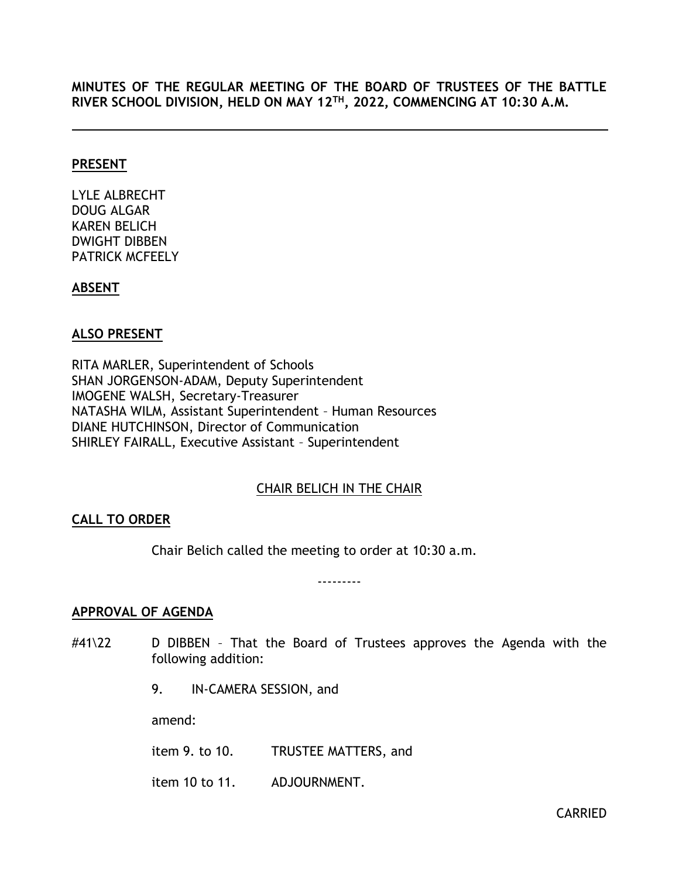## **MINUTES OF THE REGULAR MEETING OF THE BOARD OF TRUSTEES OF THE BATTLE RIVER SCHOOL DIVISION, HELD ON MAY 12 TH, 2022, COMMENCING AT 10:30 A.M.**

#### **PRESENT**

LYLE ALBRECHT DOUG ALGAR KAREN BELICH DWIGHT DIBBEN PATRICK MCFEELY

## **ABSENT**

## **ALSO PRESENT**

RITA MARLER, Superintendent of Schools SHAN JORGENSON-ADAM, Deputy Superintendent IMOGENE WALSH, Secretary-Treasurer NATASHA WILM, Assistant Superintendent – Human Resources DIANE HUTCHINSON, Director of Communication SHIRLEY FAIRALL, Executive Assistant – Superintendent

## CHAIR BELICH IN THE CHAIR

## <span id="page-0-0"></span>**CALL TO ORDER**

Chair Belich called the meeting to order at 10:30 a.m.

---------

## <span id="page-0-1"></span>**APPROVAL OF AGENDA**

- #41\22 D DIBBEN That the Board of Trustees approves the Agenda with the following addition:
	- 9. IN-CAMERA SESSION, and

amend:

item 9. to 10. TRUSTEE MATTERS, and

item 10 to 11. ADJOURNMENT.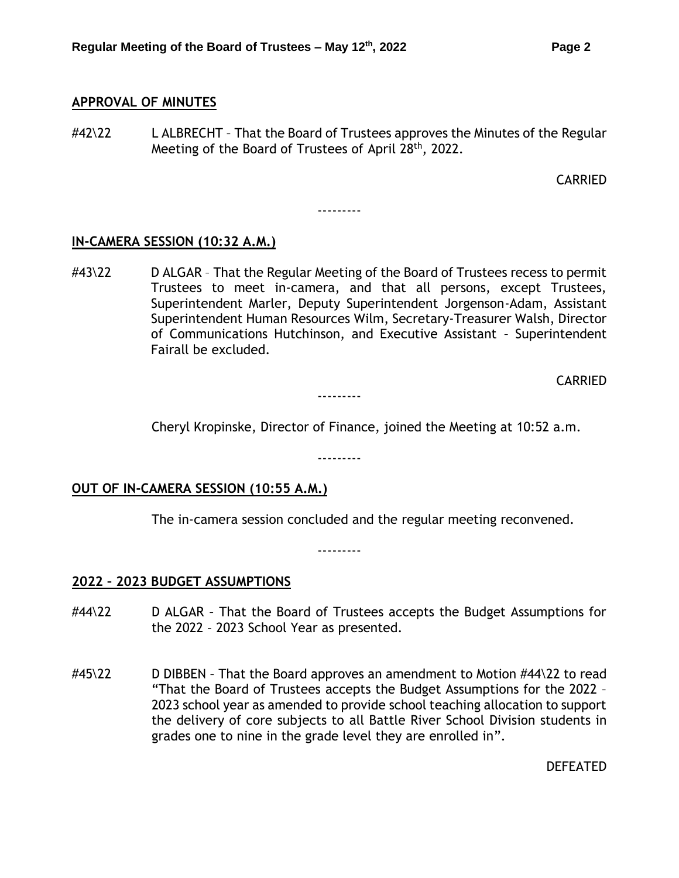#### <span id="page-1-0"></span>**APPROVAL OF MINUTES**

#42\22 L ALBRECHT - That the Board of Trustees approves the Minutes of the Regular Meeting of the Board of Trustees of April 28<sup>th</sup>, 2022.

CARRIED

---------

#### **IN-CAMERA SESSION (10:32 A.M.)**

#43\22 D ALGAR - That the Regular Meeting of the Board of Trustees recess to permit Trustees to meet in-camera, and that all persons, except Trustees, Superintendent Marler, Deputy Superintendent Jorgenson-Adam, Assistant Superintendent Human Resources Wilm, Secretary-Treasurer Walsh, Director of Communications Hutchinson, and Executive Assistant – Superintendent Fairall be excluded.

CARRIED

---------

Cheryl Kropinske, Director of Finance, joined the Meeting at 10:52 a.m.

---------

## **OUT OF IN-CAMERA SESSION (10:55 A.M.)**

The in-camera session concluded and the regular meeting reconvened.

---------

#### <span id="page-1-1"></span>**2022 – 2023 BUDGET ASSUMPTIONS**

- #44\22 D ALGAR That the Board of Trustees accepts the Budget Assumptions for the 2022 – 2023 School Year as presented.
- $\#45\backslash22$  D DIBBEN That the Board approves an amendment to Motion  $\#44\backslash22$  to read "That the Board of Trustees accepts the Budget Assumptions for the 2022 – 2023 school year as amended to provide school teaching allocation to support the delivery of core subjects to all Battle River School Division students in grades one to nine in the grade level they are enrolled in".

DEFEATED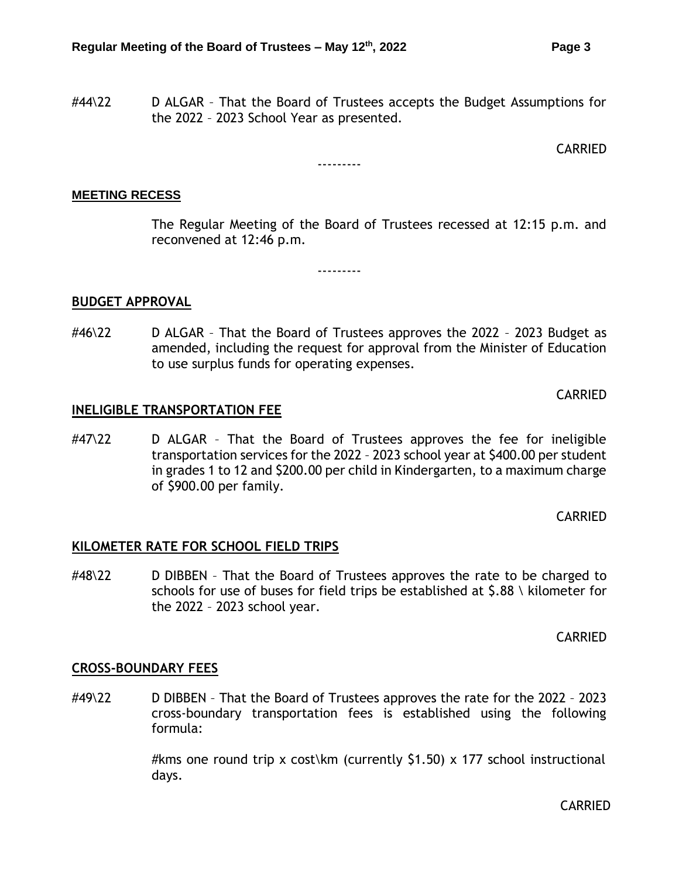#44\22 D ALGAR – That the Board of Trustees accepts the Budget Assumptions for the 2022 – 2023 School Year as presented.

CARRIED

#### ---------

#### **MEETING RECESS**

The Regular Meeting of the Board of Trustees recessed at 12:15 p.m. and reconvened at 12:46 p.m.

<span id="page-2-0"></span>**BUDGET APPROVAL**

#46\22 D ALGAR – That the Board of Trustees approves the 2022 – 2023 Budget as amended, including the request for approval from the Minister of Education to use surplus funds for operating expenses.

---------

CARRIED

#### <span id="page-2-1"></span>**INELIGIBLE TRANSPORTATION FEE**

#47\22 D ALGAR - That the Board of Trustees approves the fee for ineligible transportation services for the 2022 – 2023 school year at \$400.00 per student in grades 1 to 12 and \$200.00 per child in Kindergarten, to a maximum charge of \$900.00 per family.

CARRIED

#### <span id="page-2-2"></span>**KILOMETER RATE FOR SCHOOL FIELD TRIPS**

#48\22 D DIBBEN – That the Board of Trustees approves the rate to be charged to schools for use of buses for field trips be established at \$.88 \ kilometer for the 2022 – 2023 school year.

CARRIED

## <span id="page-2-3"></span>**CROSS-BOUNDARY FEES**

#49\22 D DIBBEN – That the Board of Trustees approves the rate for the 2022 – 2023 cross-boundary transportation fees is established using the following formula:

> #kms one round trip x cost\km (currently \$1.50) x 177 school instructional days.

> > CARRIED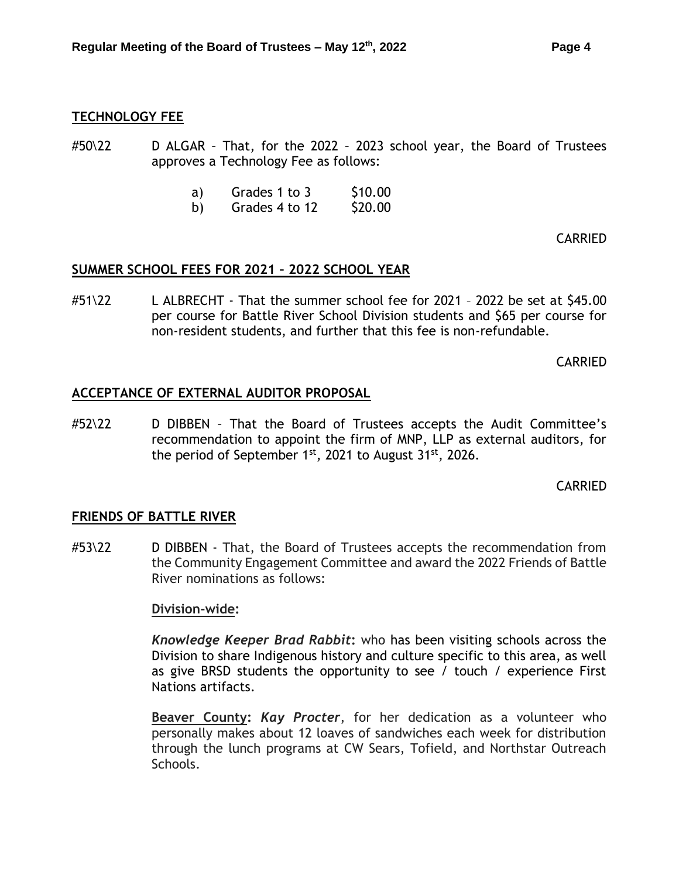<span id="page-3-0"></span>#50\22 D ALGAR - That, for the 2022 - 2023 school year, the Board of Trustees approves a Technology Fee as follows:

- a) Grades  $1$  to  $3$  \$10.00
- b) Grades  $4$  to  $12$  \$20.00

CARRIED

#### <span id="page-3-1"></span>**SUMMER SCHOOL FEES FOR 2021 – 2022 SCHOOL YEAR**

#51\22 L ALBRECHT - That the summer school fee for 2021 – 2022 be set at \$45.00 per course for Battle River School Division students and \$65 per course for non-resident students, and further that this fee is non-refundable.

CARRIED

#### <span id="page-3-2"></span>**ACCEPTANCE OF EXTERNAL AUDITOR PROPOSAL**

#52\22 D DIBBEN – That the Board of Trustees accepts the Audit Committee's recommendation to appoint the firm of MNP, LLP as external auditors, for the period of September  $1<sup>st</sup>$ , 2021 to August 31 $<sup>st</sup>$ , 2026.</sup>

CARRIED

## <span id="page-3-3"></span>**FRIENDS OF BATTLE RIVER**

#53\22 D DIBBEN - That, the Board of Trustees accepts the recommendation from the Community Engagement Committee and award the 2022 Friends of Battle River nominations as follows:

#### **Division-wide:**

*Knowledge Keeper Brad Rabbit***:** who has been visiting schools across the Division to share Indigenous history and culture specific to this area, as well as give BRSD students the opportunity to see / touch / experience First Nations artifacts.

**Beaver County:** *Kay Procter*, for her dedication as a volunteer who personally makes about 12 loaves of sandwiches each week for distribution through the lunch programs at CW Sears, Tofield, and Northstar Outreach Schools.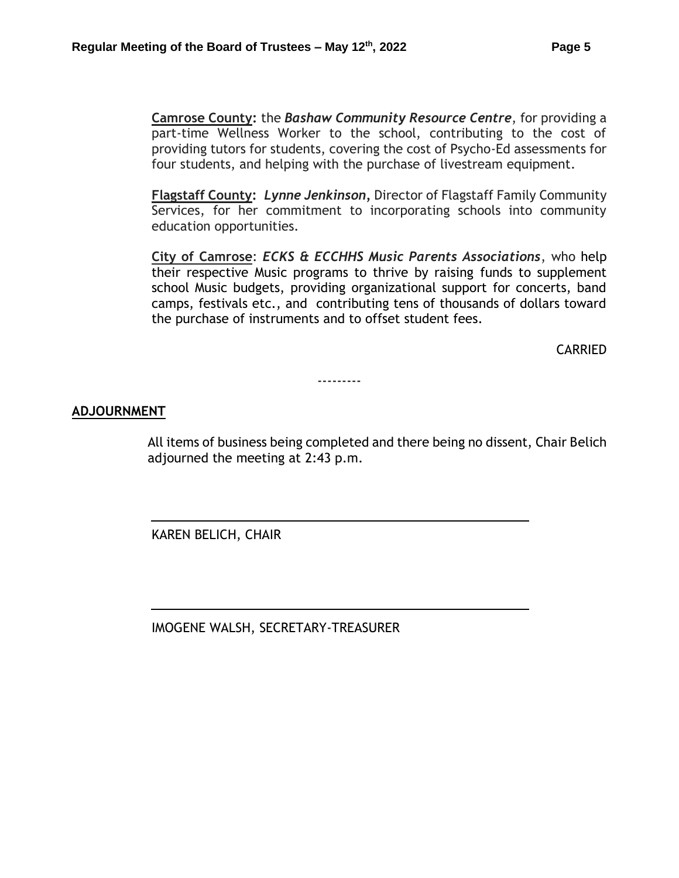**Camrose County:** the *Bashaw Community Resource Centre*, for providing a part-time Wellness Worker to the school, contributing to the cost of providing tutors for students, covering the cost of Psycho-Ed assessments for four students, and helping with the purchase of livestream equipment.

**Flagstaff County:** *Lynne Jenkinson,* Director of Flagstaff Family Community Services, for her commitment to incorporating schools into community education opportunities.

**City of Camrose**: *ECKS & ECCHHS Music Parents Associations*, who help their respective Music programs to thrive by raising funds to supplement school Music budgets, providing organizational support for concerts, band camps, festivals etc., and contributing tens of thousands of dollars toward the purchase of instruments and to offset student fees.

CARRIED

---------

## **ADJOURNMENT**

All items of business being completed and there being no dissent, Chair Belich adjourned the meeting at 2:43 p.m.

KAREN BELICH, CHAIR

IMOGENE WALSH, SECRETARY-TREASURER